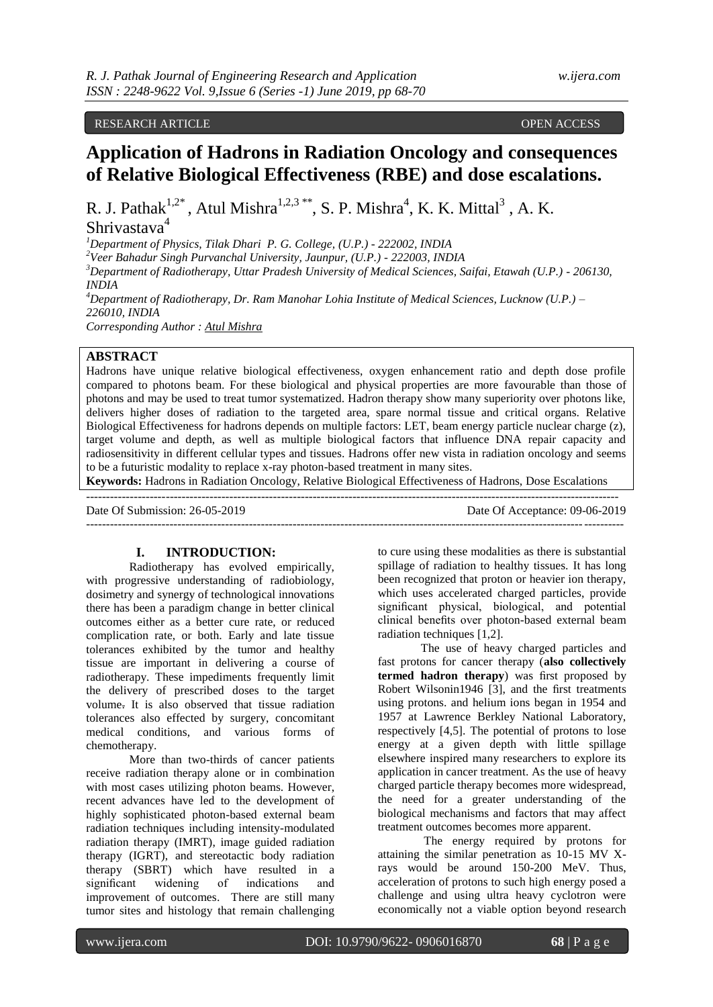# RESEARCH ARTICLE **CONSERVERS** OPEN ACCESS OPEN ACCESS OPEN ACCESS OPEN ACCESS OPEN ACCESS OPEN ACCESS OF A SAMPLE OF A SAMPLE OF A SAMPLE OF A SAMPLE OF A SAMPLE OF A SAMPLE OF A SAMPLE OF A SAMPLE OF A SAMPLE OF A SAMPLE

# **Application of Hadrons in Radiation Oncology and consequences of Relative Biological Effectiveness (RBE) and dose escalations.**

R. J. Pathak<sup>1,2\*</sup>, Atul Mishra<sup>1,2,3\*\*</sup>, S. P. Mishra<sup>4</sup>, K. K. Mittal<sup>3</sup>, A. K.

# Shrivastava<sup>4</sup>

*<sup>1</sup>Department of Physics, Tilak Dhari P. G. College, (U.P.) - 222002, INDIA*

*<sup>2</sup>Veer Bahadur Singh Purvanchal University, Jaunpur, (U.P.) - 222003, INDIA*

*<sup>3</sup>Department of Radiotherapy, Uttar Pradesh University of Medical Sciences, Saifai, Etawah (U.P.) - 206130, INDIA*

*<sup>4</sup>Department of Radiotherapy, Dr. Ram Manohar Lohia Institute of Medical Sciences, Lucknow (U.P.) – 226010, INDIA*

*Corresponding Author : Atul Mishra*

# **ABSTRACT**

Hadrons have unique relative biological effectiveness, oxygen enhancement ratio and depth dose profile compared to photons beam. For these biological and physical properties are more favourable than those of photons and may be used to treat tumor systematized. Hadron therapy show many superiority over photons like, delivers higher doses of radiation to the targeted area, spare normal tissue and critical organs. Relative Biological Effectiveness for hadrons depends on multiple factors: LET, beam energy particle nuclear charge (z), target volume and depth, as well as multiple biological factors that influence DNA repair capacity and radiosensitivity in different cellular types and tissues. Hadrons offer new vista in radiation oncology and seems to be a futuristic modality to replace x-ray photon-based treatment in many sites.

**Keywords:** Hadrons in Radiation Oncology, Relative Biological Effectiveness of Hadrons, Dose Escalations --------------------------------------------------------------------------------------------------------------------------------------

Date Of Submission: 26-05-2019 Date Of Acceptance: 09-06-2019

---------------------------------------------------------------------------------------------------------------------------------------

# **I. INTRODUCTION:**

Radiotherapy has evolved empirically, with progressive understanding of radiobiology, dosimetry and synergy of technological innovations there has been a paradigm change in better clinical outcomes either as a better cure rate, or reduced complication rate, or both. Early and late tissue tolerances exhibited by the tumor and healthy tissue are important in delivering a course of radiotherapy. These impediments frequently limit the delivery of prescribed doses to the target volume. It is also observed that tissue radiation tolerances also effected by surgery, concomitant medical conditions, and various forms of chemotherapy.

More than two-thirds of cancer patients receive radiation therapy alone or in combination with most cases utilizing photon beams. However, recent advances have led to the development of highly sophisticated photon-based external beam radiation techniques including intensity-modulated radiation therapy (IMRT), image guided radiation therapy (IGRT), and stereotactic body radiation therapy (SBRT) which have resulted in a significant widening of indications and improvement of outcomes. There are still many tumor sites and histology that remain challenging

to cure using these modalities as there is substantial spillage of radiation to healthy tissues. It has long been recognized that proton or heavier ion therapy, which uses accelerated charged particles, provide significant physical, biological, and potential clinical benefits over photon-based external beam radiation techniques [1,2].

The use of heavy charged particles and fast protons for cancer therapy (**also collectively termed hadron therapy**) was first proposed by Robert Wilsonin1946 [3], and the first treatments using protons. and helium ions began in 1954 and 1957 at Lawrence Berkley National Laboratory, respectively [4,5]. The potential of protons to lose energy at a given depth with little spillage elsewhere inspired many researchers to explore its application in cancer treatment. As the use of heavy charged particle therapy becomes more widespread, the need for a greater understanding of the biological mechanisms and factors that may affect treatment outcomes becomes more apparent.

The energy required by protons for attaining the similar penetration as 10-15 MV Xrays would be around 150-200 MeV. Thus, acceleration of protons to such high energy posed a challenge and using ultra heavy cyclotron were economically not a viable option beyond research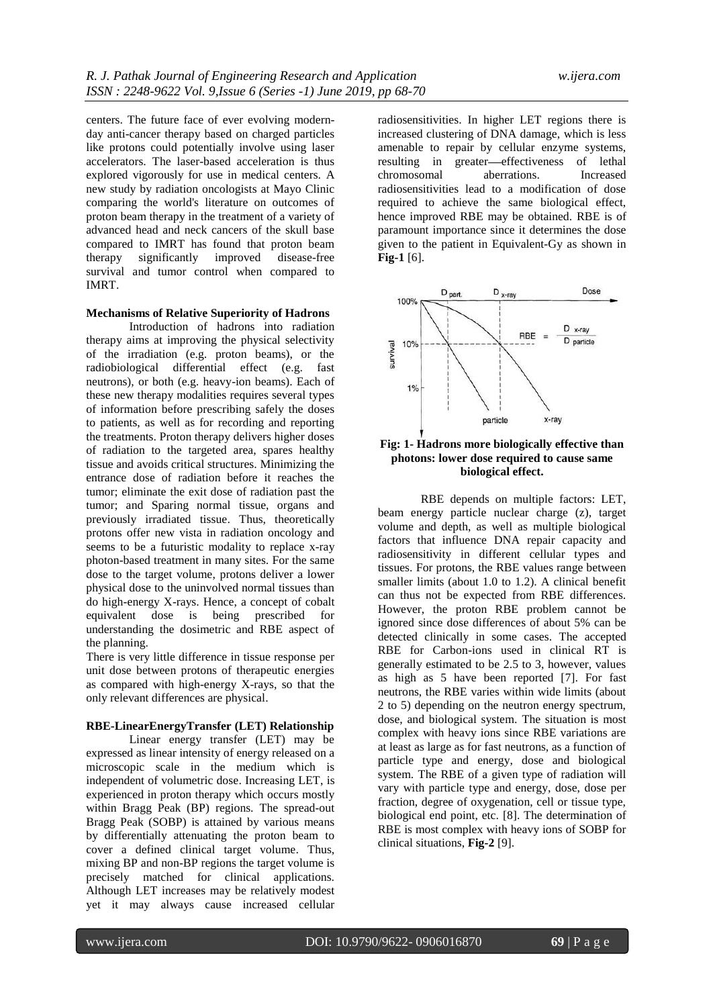centers. The future face of ever evolving modernday anti-cancer therapy based on charged particles like protons could potentially involve using laser accelerators. The laser-based acceleration is thus explored vigorously for use in medical centers. A new study by radiation oncologists at Mayo Clinic comparing the world's literature on outcomes of proton beam therapy in the treatment of a variety of advanced head and neck cancers of the skull base compared to IMRT has found that proton beam therapy significantly improved disease-free survival and tumor control when compared to IMRT.

## **Mechanisms of Relative Superiority of Hadrons**

Introduction of hadrons into radiation therapy aims at improving the physical selectivity of the irradiation (e.g. proton beams), or the radiobiological differential effect (e.g. fast neutrons), or both (e.g. heavy-ion beams). Each of these new therapy modalities requires several types of information before prescribing safely the doses to patients, as well as for recording and reporting the treatments. Proton therapy delivers higher doses of radiation to the targeted area, spares healthy tissue and avoids critical structures. Minimizing the entrance dose of radiation before it reaches the tumor; eliminate the exit dose of radiation past the tumor; and Sparing normal tissue, organs and previously irradiated tissue. Thus, theoretically protons offer new vista in radiation oncology and seems to be a futuristic modality to replace x-ray photon-based treatment in many sites. For the same dose to the target volume, protons deliver a lower physical dose to the uninvolved normal tissues than do high-energy X-rays. Hence, a concept of cobalt equivalent dose is being prescribed for understanding the dosimetric and RBE aspect of the planning.

There is very little difference in tissue response per unit dose between protons of therapeutic energies as compared with high-energy X-rays, so that the only relevant differences are physical.

#### **RBE-LinearEnergyTransfer (LET) Relationship**

Linear energy transfer (LET) may be expressed as linear intensity of energy released on a microscopic scale in the medium which is independent of volumetric dose. Increasing LET, is experienced in proton therapy which occurs mostly within Bragg Peak (BP) regions. The spread-out Bragg Peak (SOBP) is attained by various means by differentially attenuating the proton beam to cover a defined clinical target volume. Thus, mixing BP and non-BP regions the target volume is precisely matched for clinical applications. Although LET increases may be relatively modest yet it may always cause increased cellular

radiosensitivities. In higher LET regions there is increased clustering of DNA damage, which is less amenable to repair by cellular enzyme systems, resulting in greater—effectiveness of lethal chromosomal aberrations. Increased radiosensitivities lead to a modification of dose required to achieve the same biological effect, hence improved RBE may be obtained. RBE is of paramount importance since it determines the dose given to the patient in Equivalent-Gy as shown in **Fig-1** [6].



# **Fig: 1- Hadrons more biologically effective than photons: lower dose required to cause same biological effect.**

RBE depends on multiple factors: LET, beam energy particle nuclear charge (z), target volume and depth, as well as multiple biological factors that influence DNA repair capacity and radiosensitivity in different cellular types and tissues. For protons, the RBE values range between smaller limits (about 1.0 to 1.2). A clinical benefit can thus not be expected from RBE differences. However, the proton RBE problem cannot be ignored since dose differences of about 5% can be detected clinically in some cases. The accepted RBE for Carbon-ions used in clinical RT is generally estimated to be 2.5 to 3, however, values as high as 5 have been reported [7]. For fast neutrons, the RBE varies within wide limits (about 2 to 5) depending on the neutron energy spectrum, dose, and biological system. The situation is most complex with heavy ions since RBE variations are at least as large as for fast neutrons, as a function of particle type and energy, dose and biological system. The RBE of a given type of radiation will vary with particle type and energy, dose, dose per fraction, degree of oxygenation, cell or tissue type, biological end point, etc. [8]. The determination of RBE is most complex with heavy ions of SOBP for clinical situations, **Fig-2** [9].